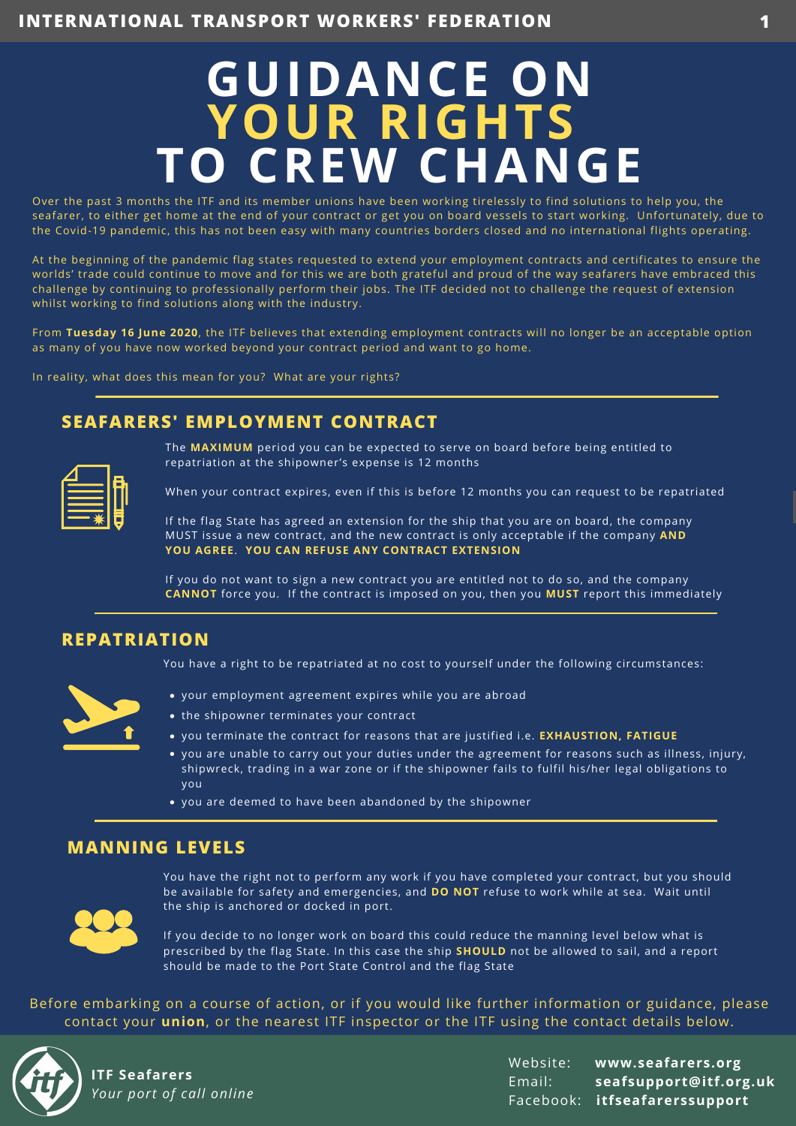# **GUIDANCE ON YOUR RIGHTS TO CREW CHANGE**

Over the past 3 months the ITF and its member unions have been working tirelessly to find solutions to help you, the seafarer, to either get home at the end of your contract or get you on board vessels to start working. Unfortunately, due to the Covid-19 pandemic, this has not been easy with many countries borders closed and no international flights operating.

At the beginning of the pandemic flag states requested to extend your employment contracts and certificates to ensure the worlds' trade could continue to move and for this we are both grateful and proud of the way seafarers have embraced this challenge by continuing to professionally perform their jobs. The ITF decided not to challenge the request of extension whilst working to find solutions along with the industry.

From **Tuesday 16 June 2020**, the ITF believes that extending employment contracts will no longer be an acceptable option as many of you have now worked beyond your contract period and want to go home.

In reality, what does this mean for you? What are your rights?

# **SEAFARERS' EMPLOYMENT CONTRACT**

| ______                                                                                                                                                                                                                                                                             |  |
|------------------------------------------------------------------------------------------------------------------------------------------------------------------------------------------------------------------------------------------------------------------------------------|--|
| _______                                                                                                                                                                                                                                                                            |  |
| <b>Service Service</b><br>$\mathcal{L}^{\text{max}}_{\text{max}}$ and $\mathcal{L}^{\text{max}}_{\text{max}}$ and $\mathcal{L}^{\text{max}}_{\text{max}}$<br><b>Contract Contract Contract Contract Contract Contract Contract Contract Contract Contract Contract Contract Co</b> |  |
|                                                                                                                                                                                                                                                                                    |  |

The **MAXIMUM** period you can be expected to serve on board before being entitled to repatriation at the shipowner's expense is 12 months

When your contract expires, even if this is before 12 months you can request to be repatriated

If the flag State has agreed an extension for the ship that you are on board, the company MUST issue a new contract, and the new contract is only acceptable if the company **AND YOU AGREE**. **YOU CAN REFUSE ANY CONTRACT EXTENSION**

If you do not want to sign a new contract you are entitled not to do so, and the company **CANNOT** force you. If the contract is imposed on you, then you **MUST** report this immediately



**REPATRIATION**

You have a right to be repatriated at no cost to yourself under the following circumstances:

- your employment agreement expires while you are abroad
- the shipowner terminates your contract
- you terminate the contract for reasons that are justified i.e. **EXHAUSTION, FATIGUE**
- you are unable to carry out your duties under the agreement for reasons such as illness, injury, shipwreck, trading in a war zone or if the shipowner fails to fulfil his/her legal obligations to you
- you are deemed to have been abandoned by the shipowner

## **MANNING LEVELS**



You have the right not to perform any work if you have completed your contract, but you should be available for safety and emergencies, and **DO NOT** refuse to work while at sea. Wait until the ship is anchored or docked in port.

If you decide to no longer work on board this could reduce the manning level below what is prescribed by the flag State. In this case the ship **SHOULD** not be allowed to sail, and a report should be made to the Port State Control and the flag State

Before embarking on a course of action, or if you would like further information or guidance, please contact your **union**, or the nearest ITF inspector or the ITF using the contact details below.



**ITF Seafarers** *Your port of call online*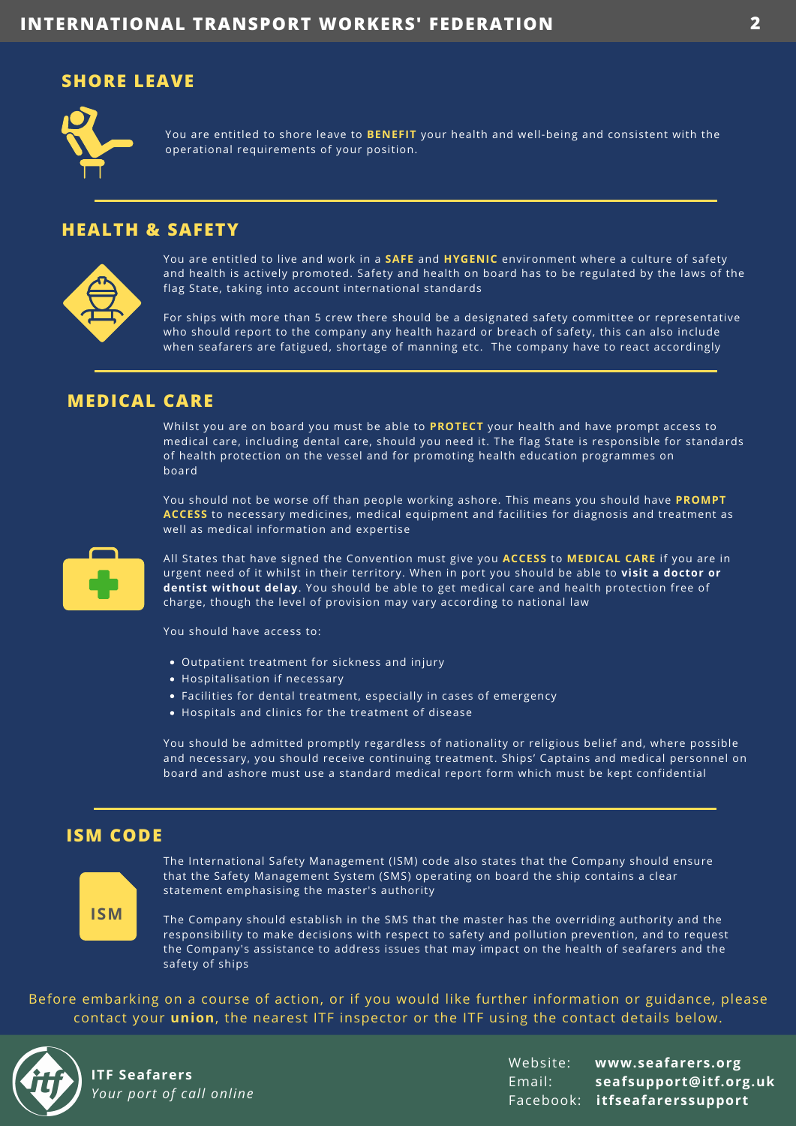## **SHORE LEAVE**



You are entitled to shore leave to **BENEFIT** your health and well-being and consistent with the operational requirements of your position.

#### **HEALTH & SAFETY**



You are entitled to live and work in a **SAFE** and **HYGENIC** environment where a culture of safety and health is actively promoted. Safety and health on board has to be regulated by the laws of the flag State, taking into account international standards

For ships with more than 5 crew there should be a designated safety committee or representative who should report to the company any health hazard or breach of safety, this can also include when seafarers are fatigued, shortage of manning etc. The company have to react accordingly

## **MEDICAL CARE**

Whilst you are on board you must be able to **PROTECT** your health and have prompt access to medical care, including dental care, should you need it. The flag State is responsible for standards of health protection on the vessel and for promoting health education programmes on board

You should not be worse off than people working ashore. This means you should have **PROMPT ACCESS** to necessary medicines, medical equipment and facilities for diagnosis and treatment as well as medical information and expertise



All States that have signed the Convention must give you **ACCESS** to **MEDICAL CARE** if you are in urgent need of it whilst in their territory. When in port you should be able to **visit a doctor or dentist without delay**. You should be able to get medical care and health protection free of charge, though the level of provision may vary according to national law

You should have access to:

- Outpatient treatment for sickness and injury
- Hospitalisation if necessary
- Facilities for dental treatment, especially in cases of emergency
- Hospitals and clinics for the treatment of disease

You should be admitted promptly regardless of nationality or religious belief and, where possible and necessary, you should receive continuing treatment. Ships' Captains and medical personnel on board and ashore must use a standard medical report form which must be kept confidential

## **ISM CODE**



The International Safety Management (ISM) code also states that the Company should ensure that the Safety Management System (SMS) operating on board the ship contains a clear statement emphasising the master's authority

The Company should establish in the SMS that the master has the overriding authority and the responsibility to make decisions with respect to safety and pollution prevention, and to request the Company's assistance to address issues that may impact on the health of seafarers and the safety of ships

Before embarking on a course of action, or if you would like further information or guidance, please contact your **union**, the nearest ITF inspector or the ITF using the contact details below.



**ITF Seafarers** *Your port of call online*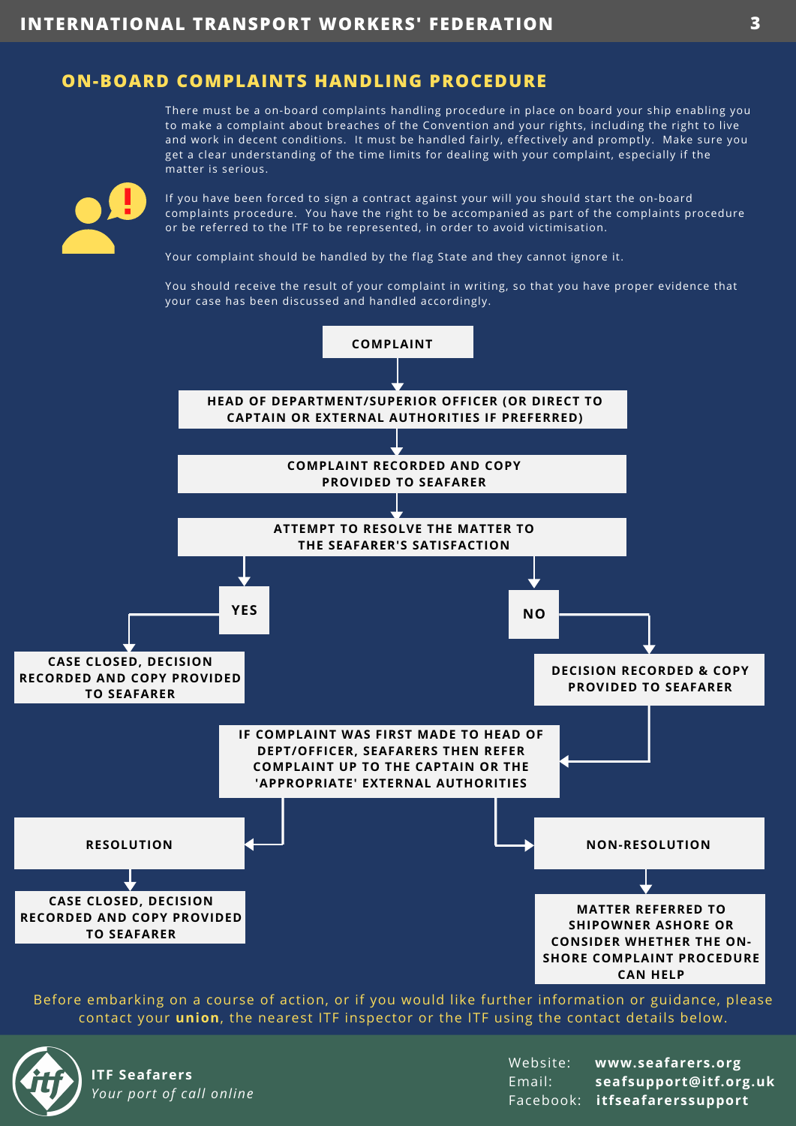## **ON-BOARD COMPLAINTS HANDLING PROCEDURE**

There must be a on-board complaints handling procedure in place on board your ship enabling you to make a complaint about breaches of the Convention and your rights, including the right to live and work in decent conditions. It must be handled fairly, effectively and promptly. Make sure you get a clear understanding of the time limits for dealing with your complaint, especially if the matter is serious.

If you have been forced to sign a contract against your will you should start the on-board complaints procedure. You have the right to be accompanied as part of the complaints procedure or be referred to the ITF to be represented, in order to avoid victimisation.

Your complaint should be handled by the flag State and they cannot ignore it.

You should receive the result of your complaint in writing, so that you have proper evidence that your case has been discussed and handled accordingly.



Before embarking on a course of action, or if you would like further information or guidance, please contact your **union**, the nearest ITF inspector or the ITF using the contact details below.



**ITF Seafarers** *Your port of call online*